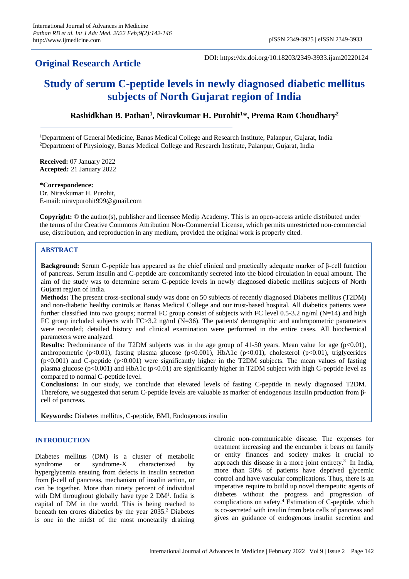## **Original Research Article**

DOI: https://dx.doi.org/10.18203/2349-3933.ijam20220124

# **Study of serum C-peptide levels in newly diagnosed diabetic mellitus subjects of North Gujarat region of India**

### **Rashidkhan B. Pathan 1 , Niravkumar H. Purohit<sup>1</sup>\*, Prema Ram Choudhary<sup>2</sup>**

<sup>1</sup>Department of General Medicine, Banas Medical College and Research Institute, Palanpur, Gujarat, India <sup>2</sup>Department of Physiology, Banas Medical College and Research Institute, Palanpur, Gujarat, India

**Received:** 07 January 2022 **Accepted:** 21 January 2022

#### **\*Correspondence:**

Dr. Niravkumar H. Purohit, E-mail: niravpurohit999@gmail.com

**Copyright:** © the author(s), publisher and licensee Medip Academy. This is an open-access article distributed under the terms of the Creative Commons Attribution Non-Commercial License, which permits unrestricted non-commercial use, distribution, and reproduction in any medium, provided the original work is properly cited.

## **ABSTRACT**

**Background:** Serum C-peptide has appeared as the chief clinical and practically adequate marker of β-cell function of pancreas. Serum insulin and C-peptide are concomitantly secreted into the blood circulation in equal amount. The aim of the study was to determine serum C-peptide levels in newly diagnosed diabetic mellitus subjects of North Gujarat region of India.

**Methods:** The present cross-sectional study was done on 50 subjects of recently diagnosed Diabetes mellitus (T2DM) and non-diabetic healthy controls at Banas Medical College and our trust-based hospital. All diabetics patients were further classified into two groups; normal FC group consist of subjects with FC level 0.5-3.2 ng/ml ( $N=14$ ) and high FC group included subjects with FC $>3.2$  ng/ml (N=36). The patients' demographic and anthropometric parameters were recorded; detailed history and clinical examination were performed in the entire cases. All biochemical parameters were analyzed.

**Results:** Predominance of the T2DM subjects was in the age group of 41-50 years. Mean value for age (p<0.01), anthropometric ( $p<0.01$ ), fasting plasma glucose ( $p<0.001$ ), HbA1c ( $p<0.01$ ), cholesterol ( $p<0.01$ ), triglycerides  $(p<0.001)$  and C-peptide  $(p<0.001)$  were significantly higher in the T2DM subjects. The mean values of fasting plasma glucose (p<0.001) and HbA1c (p<0.01) are significantly higher in T2DM subject with high C-peptide level as compared to normal C-peptide level.

**Conclusions:** In our study, we conclude that elevated levels of fasting C-peptide in newly diagnosed T2DM. Therefore, we suggested that serum C-peptide levels are valuable as marker of endogenous insulin production from βcell of pancreas.

**Keywords:** Diabetes mellitus, C-peptide, BMI, Endogenous insulin

#### **INTRODUCTION**

Diabetes mellitus (DM) is a cluster of metabolic syndrome or syndrome-X characterized by hyperglycemia ensuing from defects in insulin secretion from β-cell of pancreas, mechanism of insulin action, or can be together. More than ninety percent of individual with DM throughout globally have type 2 DM<sup>1</sup>. India is capital of DM in the world. This is being reached to beneath ten crores diabetics by the year 2035.<sup>2</sup> Diabetes is one in the midst of the most monetarily draining chronic non-communicable disease. The expenses for treatment increasing and the encumber it bears on family or entity finances and society makes it crucial to approach this disease in a more joint entirety. $3$  In India, more than 50% of patients have deprived glycemic control and have vascular complications. Thus, there is an imperative require to build up novel therapeutic agents of diabetes without the progress and progression of complications on safety.<sup>4</sup> Estimation of C-peptide, which is co-secreted with insulin from beta cells of pancreas and gives an guidance of endogenous insulin secretion and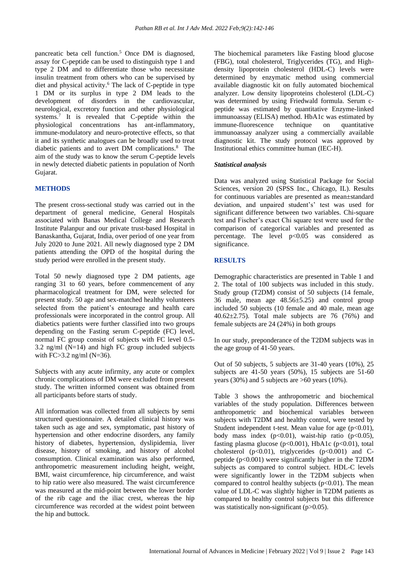pancreatic beta cell function.<sup>5</sup> Once DM is diagnosed, assay for C-peptide can be used to distinguish type 1 and type 2 DM and to differentiate those who necessitate insulin treatment from others who can be supervised by diet and physical activity.<sup>6</sup> The lack of C-peptide in type 1 DM or its surplus in type 2 DM leads to the development of disorders in the cardiovascular, neurological, excretory function and other physiological systems.<sup>7</sup> It is revealed that C-peptide within the physiological concentrations has ant-inflammatory, immune-modulatory and neuro-protective effects, so that it and its synthetic analogues can be broadly used to treat diabetic patients and to avert DM complications.<sup>8</sup> The aim of the study was to know the serum C-peptide levels in newly detected diabetic patients in population of North Gujarat.

#### **METHODS**

The present cross-sectional study was carried out in the department of general medicine, General Hospitals associated with Banas Medical College and Research Institute Palanpur and our private trust-based Hospital in Banaskantha, Gujarat, India, over period of one year from July 2020 to June 2021. All newly diagnosed type 2 DM patients attending the OPD of the hospital during the study period were enrolled in the present study.

Total 50 newly diagnosed type 2 DM patients, age ranging 31 to 60 years, before commencement of any pharmacological treatment for DM, were selected for present study. 50 age and sex-matched healthy volunteers selected from the patient's entourage and health care professionals were incorporated in the control group. All diabetics patients were further classified into two groups depending on the Fasting serum C-peptide (FC) level, normal FC group consist of subjects with FC level 0.5- 3.2 ng/ml (N=14) and high FC group included subjects with  $FC>3.2$  ng/ml (N=36).

Subjects with any acute infirmity, any acute or complex chronic complications of DM were excluded from present study. The written informed consent was obtained from all participants before starts of study.

All information was collected from all subjects by semi structured questionnaire. A detailed clinical history was taken such as age and sex, symptomatic, past history of hypertension and other endocrine disorders, any family history of diabetes, hypertension, dyslipidemia, liver disease, history of smoking, and history of alcohol consumption. Clinical examination was also performed, anthropometric measurement including height, weight, BMI, waist circumference, hip circumference, and waist to hip ratio were also measured. The waist circumference was measured at the mid-point between the lower border of the rib cage and the iliac crest, whereas the hip circumference was recorded at the widest point between the hip and buttock.

The biochemical parameters like Fasting blood glucose (FBG), total cholesterol, Triglycerides (TG), and Highdensity lipoprotein cholesterol (HDL-C) levels were determined by enzymatic method using commercial available diagnostic kit on fully automated biochemical analyzer. Low density lipoproteins cholesterol (LDL-C) was determined by using Friedwald formula. Serum cpeptide was estimated by quantitative Enzyme-linked immunoassay (ELISA) method. HbA1c was estimated by immune-fluorescence technique on quantitative immunoassay analyzer using a commercially available diagnostic kit. The study protocol was approved by Institutional ethics committee human (IEC-H).

#### *Statistical analysis*

Data was analyzed using Statistical Package for Social Sciences, version 20 (SPSS Inc., Chicago, IL). Results for continuous variables are presented as mean±standard deviation, and unpaired student's' test was used for significant difference between two variables. Chi-square test and Fischer's exact Chi square test were used for the comparison of categorical variables and presented as percentage. The level p<0.05 was considered as significance.

#### **RESULTS**

Demographic characteristics are presented in Table 1 and 2. The total of 100 subjects was included in this study. Study group (T2DM) consist of 50 subjects (14 female, 36 male, mean age 48.56±5.25) and control group included 50 subjects (10 female and 40 male, mean age 40.62 $\pm$ 2.75). Total male subjects are 76 (76%) and female subjects are 24 (24%) in both groups

In our study, preponderance of the T2DM subjects was in the age group of 41-50 years.

Out of 50 subjects, 5 subjects are 31-40 years (10%), 25 subjects are 41-50 years (50%), 15 subjects are 51-60 years (30%) and 5 subjects are  $>60$  years (10%).

Table 3 shows the anthropometric and biochemical variables of the study population. Differences between anthropometric and biochemical variables between subjects with T2DM and healthy control, were tested by Student independent t-test. Mean value for age  $(p<0.01)$ , body mass index  $(p<0.01)$ , waist-hip ratio  $(p<0.05)$ , fasting plasma glucose  $(p<0.001)$ , HbA1c  $(p<0.01)$ , total cholesterol  $(p<0.01)$ , triglycerides  $(p<0.001)$  and Cpeptide  $(p<0.001)$  were significantly higher in the T2DM subjects as compared to control subject. HDL-C levels were significantly lower in the T2DM subjects when compared to control healthy subjects ( $p<0.01$ ). The mean value of LDL-C was slightly higher in T2DM patients as compared to healthy control subjects but this difference was statistically non-significant (p>0.05).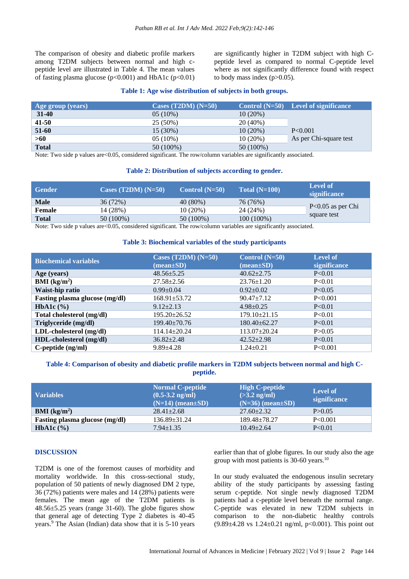The comparison of obesity and diabetic profile markers among T2DM subjects between normal and high cpeptide level are illustrated in Table 4. The mean values of fasting plasma glucose  $(p<0.001)$  and HbA1c  $(p<0.01)$  are significantly higher in T2DM subject with high Cpeptide level as compared to normal C-peptide level where as not significantly difference found with respect to body mass index (p>0.05).

#### **Table 1: Age wise distribution of subjects in both groups.**

| Age group (years) | Cases $(T2DM)$ $(N=50)$ |             | Control $(N=50)$ Level of significance |
|-------------------|-------------------------|-------------|----------------------------------------|
| 31-40             | $05(10\%)$              | $10(20\%)$  |                                        |
| $41 - 50$         | 25 (50%)                | $20(40\%)$  |                                        |
| 51-60             | $15(30\%)$              | $10(20\%)$  | P < 0.001                              |
| >60               | $05(10\%)$              | $10(20\%)$  | As per Chi-square test                 |
| <b>Total</b>      | 50 (100%)               | $50(100\%)$ |                                        |

Note: Two side p values are <0.05, considered significant. The row/column variables are significantly associated.

#### **Table 2: Distribution of subjects according to gender.**

| <b>Gender</b> | Cases $(T2DM)$ $(N=50)$ | Control $(N=50)$ | Total $(N=100)$ | Level of<br>significance           |
|---------------|-------------------------|------------------|-----------------|------------------------------------|
| <b>Male</b>   | 36 (72%)                | $40(80\%)$       | 76 (76%)        | $P<0.05$ as per Chi<br>square test |
| Female        | 14 (28%)                | $10(20\%)$       | 24 (24%)        |                                    |
| <b>Total</b>  | 50 (100%)               | 50 (100%)        | $100(100\%)$    |                                    |

Note: Two side p values are < 0.05, considered significant. The row/column variables are significantly associated.

#### **Table 3: Biochemical variables of the study participants**

| <b>Biochemical variables</b>          | Cases $(T2DM)$ $(N=50)$<br>$(\text{mean}\pm\text{SD})$ | Control $(N=50)$<br>$(\text{mean}\pm\text{SD})$ | <b>Level of</b><br><b>significance</b> |
|---------------------------------------|--------------------------------------------------------|-------------------------------------------------|----------------------------------------|
| Age (years)                           | $48.56 \pm 5.25$                                       | $40.62 \pm 2.75$                                | P< 0.01                                |
| $BMI$ (kg/m <sup>2</sup> )            | $27.58 \pm 2.56$                                       | $23.76 \pm 1.20$                                | P< 0.01                                |
| Waist-hip ratio                       | $0.99 \pm 0.04$                                        | $0.92 \pm 0.02$                                 | P<0.05                                 |
| <b>Fasting plasma glucose (mg/dl)</b> | $168.91 \pm 53.72$                                     | $90.47 \pm 7.12$                                | P<0.001                                |
| HbA1c $(\% )$                         | $9.12 \pm 2.13$                                        | $4.98 \pm 0.25$                                 | P< 0.01                                |
| Total cholesterol (mg/dl)             | $195.20 \pm 26.52$                                     | $179.10 \pm 21.15$                              | P< 0.01                                |
| Triglyceride (mg/dl)                  | $199.40 \pm 70.76$                                     | $180.40 \pm 62.27$                              | P< 0.01                                |
| LDL-cholesterol (mg/dl)               | $114.14 \pm 20.24$                                     | $113.07 \pm 20.24$                              | P > 0.05                               |
| HDL-cholesterol (mg/dl)               | $36.82 \pm 2.48$                                       | $42.52 \pm 2.98$                                | P< 0.01                                |
| $C$ -peptide $(ng/ml)$                | $9.89 \pm 4.28$                                        | $1.24 \pm 0.21$                                 | P<0.001                                |

#### **Table 4: Comparison of obesity and diabetic profile markers in T2DM subjects between normal and high Cpeptide.**

| <b>Variables</b>               | <b>Normal C-peptide</b><br>$(0.5-3.2 \text{ ng/ml})$<br>$(N=14)$ (mean $\pm SD$ ) | <b>High C-peptide</b><br>$(>3.2 \text{ ng/ml})$<br>$(N=36)$ (mean $\pm SD$ ) | <b>Level of</b><br>significance |
|--------------------------------|-----------------------------------------------------------------------------------|------------------------------------------------------------------------------|---------------------------------|
| <b>BMI</b> ( $kg/m2$ )         | $28.41 \pm 2.68$                                                                  | $27.60 + 2.32$                                                               | P > 0.05                        |
| Fasting plasma glucose (mg/dl) | $136.89 \pm 31.24$                                                                | $189.48 \pm 78.27$                                                           | P<0.001                         |
| <b>HbA1c</b> $(\% )$           | $7.94 \pm 1.35$                                                                   | $10.49 \pm 2.64$                                                             | P< 0.01                         |

#### **DISCUSSION**

T2DM is one of the foremost causes of morbidity and mortality worldwide. In this cross-sectional study, population of 50 patients of newly diagnosed DM 2 type, 36 (72%) patients were males and 14 (28%) patients were females. The mean age of the T2DM patients is 48.56±5.25 years (range 31-60). The globe figures show that general age of detecting Type 2 diabetes is 40-45 years.<sup>9</sup> The Asian (Indian) data show that it is 5-10 years earlier than that of globe figures. In our study also the age group with most patients is 30-60 years.<sup>10</sup>

In our study evaluated the endogenous insulin secretary ability of the study participants by assessing fasting serum c-peptide. Not single newly diagnosed T2DM patients had a c-peptide level beneath the normal range. C-peptide was elevated in new T2DM subjects in comparison to the non-diabetic healthy controls  $(9.89\pm4.28 \text{ vs } 1.24\pm0.21 \text{ ng/ml}, p<0.001)$ . This point out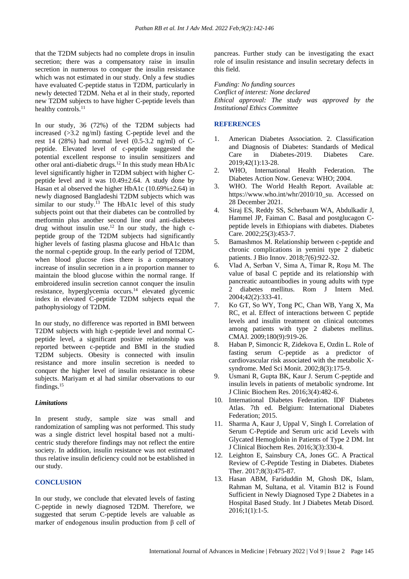that the T2DM subjects had no complete drops in insulin secretion; there was a compensatory raise in insulin secretion in numerous to conquer the insulin resistance which was not estimated in our study. Only a few studies have evaluated C-peptide status in T2DM, particularly in newly detected T2DM. Neha et al in their study, reported new T2DM subjects to have higher C-peptide levels than healthy controls.<sup>11</sup>

In our study, 36 (72%) of the T2DM subjects had increased (>3.2 ng/ml) fasting C-peptide level and the rest 14 (28%) had normal level (0.5-3.2 ng/ml) of Cpeptide. Elevated level of c-peptide suggested the potential excellent response to insulin sensitizers and other oral anti-diabetic drugs.<sup>12</sup> In this study mean HbA1c level significantly higher in T2DM subject with higher Cpeptide level and it was  $10.49 \pm 2.64$ . A study done by Hasan et al observed the higher HbA1c  $(10.69\% \pm 2.64)$  in newly diagnosed Bangladeshi T2DM subjects which was similar to our study. $^{13}$  The HbA1c level of this study subjects point out that their diabetes can be controlled by metformin plus another second line oral anti-diabetes drug without insulin use.<sup>12</sup> In our study, the high cpeptide group of the T2DM subjects had significantly higher levels of fasting plasma glucose and HbA1c than the normal c-peptide group. In the early period of T2DM, when blood glucose rises there is a compensatory increase of insulin secretion in a in proportion manner to maintain the blood glucose within the normal range. If embroidered insulin secretion cannot conquer the insulin resistance, hyperglycemia occurs.<sup>14</sup> elevated glycemic index in elevated C-peptide T2DM subjects equal the pathophysiology of T2DM.

In our study, no difference was reported in BMI between T2DM subjects with high c-peptide level and normal Cpeptide level, a significant positive relationship was reported between c-peptide and BMI in the studied T2DM subjects. Obesity is connected with insulin resistance and more insulin secretion is needed to conquer the higher level of insulin resistance in obese subjects. Mariyam et al had similar observations to our findings.<sup>15</sup>

#### *Limitations*

In present study, sample size was small and randomization of sampling was not performed. This study was a single district level hospital based not a multicentric study therefore findings may not reflect the entire society. In addition, insulin resistance was not estimated thus relative insulin deficiency could not be established in our study.

#### **CONCLUSION**

In our study, we conclude that elevated levels of fasting C-peptide in newly diagnosed T2DM. Therefore, we suggested that serum C-peptide levels are valuable as marker of endogenous insulin production from β cell of pancreas. Further study can be investigating the exact role of insulin resistance and insulin secretary defects in this field.

*Funding: No funding sources Conflict of interest: None declared Ethical approval: The study was approved by the Institutional Ethics Committee*

#### **REFERENCES**

- 1. American Diabetes Association. 2. Classification and Diagnosis of Diabetes: Standards of Medical Care in Diabetes-2019. Diabetes Care. 2019;42(1):13-28.
- 2. WHO, International Health Federation. The Diabetes Action Now. Geneva: WHO; 2004.
- 3. WHO. The World Health Report. Available at: https://www.who.int/whr/2010/10\_su. Accessed on 28 December 2021.
- 4. Siraj ES, Reddy SS, Scherbaum WA, Abdulkadir J, Hammel JP, Faiman C. Basal and postglucagon Cpeptide levels in Ethiopians with diabetes. Diabetes Care. 2002;25(3):453-7.
- 5. Bamashmos M. Relationship between c-peptide and chronic complications in yemini type 2 diabetic patients. J Bio Innov. 2018;7(6):922-32.
- 6. Vlad A, Serban V, Sima A, Timar R, Roşu M. The value of basal C peptide and its relationship with pancreatic autoantibodies in young adults with type 2 diabetes mellitus. Rom J Intern Med. 2004;42(2):333-41.
- 7. Ko GT, So WY, Tong PC, Chan WB, Yang X, Ma RC, et al. Effect of interactions between C peptide levels and insulin treatment on clinical outcomes among patients with type 2 diabetes mellitus. CMAJ. 2009;180(9):919-26.
- 8. Haban P, Simoncic R, Zidekova E, Ozdin L. Role of fasting serum C-peptide as a predictor of cardiovascular risk associated with the metabolic Xsyndrome. Med Sci Monit. 2002;8(3):175-9.
- 9. Usmani R, Gupta BK, Kaur J. Serum C-peptide and insulin levels in patients of metabolic syndrome. Int J Clinic Biochem Res. 2016;3(4):482-6.
- 10. International Diabetes Federation. IDF Diabetes Atlas. 7th ed. Belgium: International Diabetes Federation; 2015.
- 11. Sharma A, Kaur J, Uppal V, Singh I. Correlation of Serum C-Peptide and Serum uric acid Levels with Glycated Hemoglobin in Patients of Type 2 DM. Int J Clinical Biochem Res. 2016;3(3):330-4.
- 12. Leighton E, Sainsbury CA, Jones GC. A Practical Review of C-Peptide Testing in Diabetes. Diabetes Ther. 2017;8(3):475-87.
- 13. Hasan ABM, Fariduddin M, Ghosh DK, Islam, Rahman M, Sultana, et al. Vitamin B12 is Found Sufficient in Newly Diagnosed Type 2 Diabetes in a Hospital Based Study. Int J Diabetes Metab Disord. 2016;1(1):1-5.